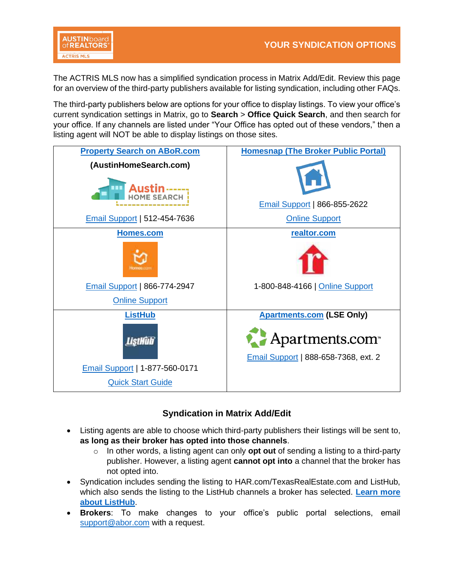

The ACTRIS MLS now has a simplified syndication process in Matrix Add/Edit. Review this page for an overview of the third-party publishers available for listing syndication, including other FAQs.

The third-party publishers below are options for your office to display listings. To view your office's current syndication settings in Matrix, go to **Search** > **Office Quick Search**, and then search for your office. If any channels are listed under "Your Office has opted out of these vendors," then a listing agent will NOT be able to display listings on those sites.

| <b>Property Search on ABoR.com</b>                                            | <b>Homesnap (The Broker Public Portal)</b>                                 |
|-------------------------------------------------------------------------------|----------------------------------------------------------------------------|
| (AustinHomeSearch.com)<br>Austin-----<br><b>Email Support   512-454-7636</b>  | <b>Email Support   866-855-2622</b><br><b>Online Support</b>               |
| Homes.com                                                                     | realtor.com                                                                |
| <b>Email Support   866-774-2947</b><br><b>Online Support</b>                  | 1-800-848-4166   Online Support                                            |
| <b>ListHub</b>                                                                | <b>Apartments.com (LSE Only)</b>                                           |
| <b>ListHulf</b><br>Email Support   1-877-560-0171<br><b>Quick Start Guide</b> | Apartments.com <sup>®</sup><br><b>Email Support   888-658-7368, ext. 2</b> |

# **Syndication in Matrix Add/Edit**

- Listing agents are able to choose which third-party publishers their listings will be sent to, **as long as their broker has opted into those channels**.
	- o In other words, a listing agent can only **opt out** of sending a listing to a third-party publisher. However, a listing agent **cannot opt into** a channel that the broker has not opted into.
- Syndication includes sending the listing to HAR.com/TexasRealEstate.com and ListHub, which also sends the listing to the ListHub channels a broker has selected. **[Learn more](https://www.abor.com/what-to-know-global-listing-network-powered-by-listhub/)  [about ListHub](https://www.abor.com/what-to-know-global-listing-network-powered-by-listhub/)**.
- **Brokers**: To make changes to your office's public portal selections, email [support@abor.com](mailto:support@abor.com) with a request.